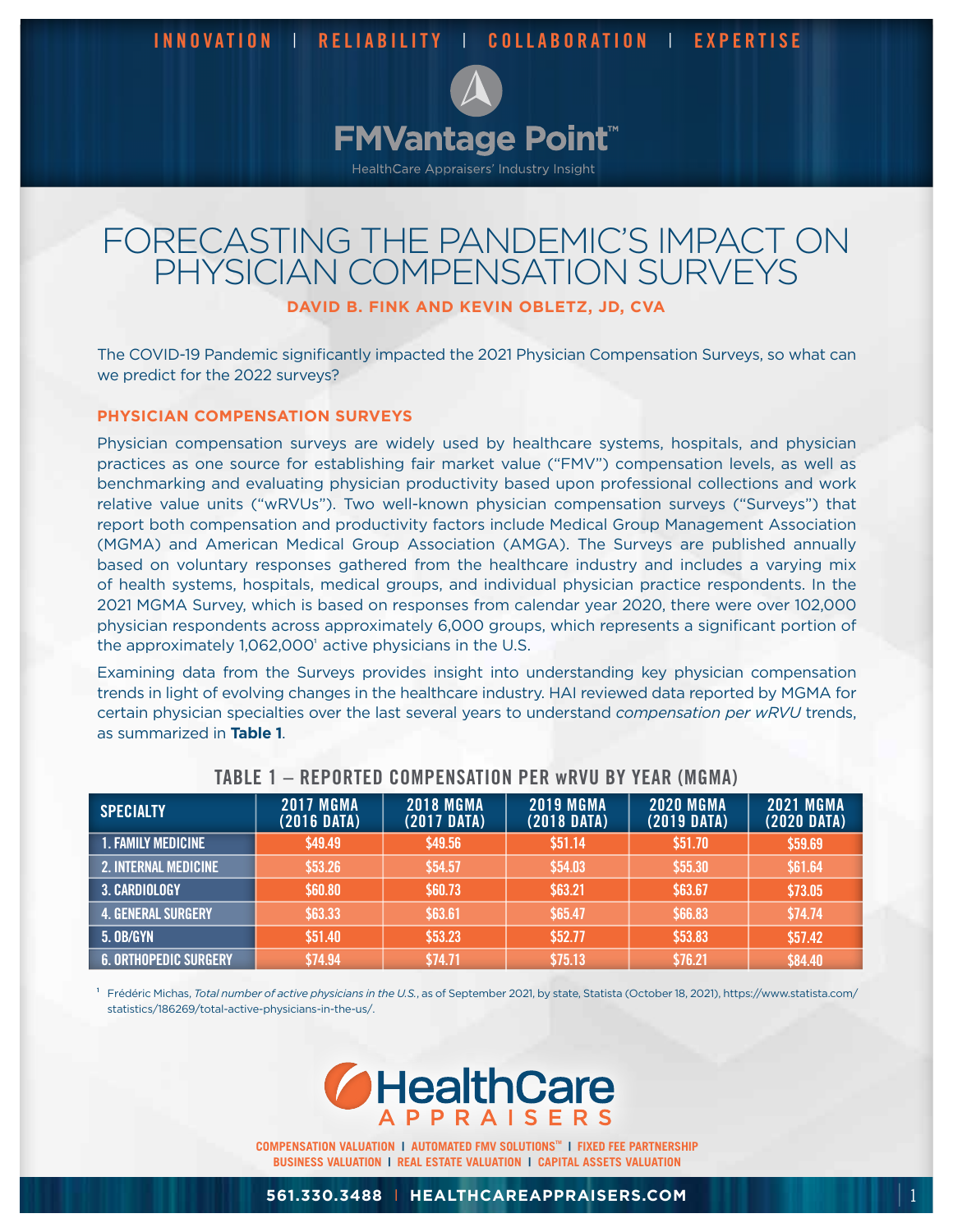

# FORECASTING THE PANDEMIC'S IMPACT ON PHYSICIAN COMPENSATION SURVEYS

# **DAVID B. FINK AND KEVIN OBLETZ, JD, CVA**

The COVID-19 Pandemic significantly impacted the 2021 Physician Compensation Surveys, so what can we predict for the 2022 surveys?

#### **PHYSICIAN COMPENSATION SURVEYS**

Physician compensation surveys are widely used by healthcare systems, hospitals, and physician practices as one source for establishing fair market value ("FMV") compensation levels, as well as benchmarking and evaluating physician productivity based upon professional collections and work relative value units ("wRVUs"). Two well-known physician compensation surveys ("Surveys") that report both compensation and productivity factors include Medical Group Management Association (MGMA) and American Medical Group Association (AMGA). The Surveys are published annually based on voluntary responses gathered from the healthcare industry and includes a varying mix of health systems, hospitals, medical groups, and individual physician practice respondents. In the 2021 MGMA Survey, which is based on responses from calendar year 2020, there were over 102,000 physician respondents across approximately 6,000 groups, which represents a significant portion of the approximately 1,062,000' active physicians in the U.S.

Examining data from the Surveys provides insight into understanding key physician compensation trends in light of evolving changes in the healthcare industry. HAI reviewed data reported by MGMA for certain physician specialties over the last several years to understand *compensation per wRVU* trends, as summarized in **Table 1**.

| <b>SPECIALTY</b>             | <b>2017 MGMA</b><br>$(2016 \text{ DATA})$ | <b>2018 MGMA</b><br>$(2017$ DATA) | <b>2019 MGMA</b><br>$(2018 \text{ DATA})$ | <b>2020 MGMA</b><br>$(2019$ DATA) | <b>2021 MGMA</b><br>(2020 DATA) |
|------------------------------|-------------------------------------------|-----------------------------------|-------------------------------------------|-----------------------------------|---------------------------------|
| <b>1. FAMILY MEDICINE</b>    | \$49.49                                   | \$49.56                           | \$51.14                                   | \$51.70                           | \$59.69                         |
| <b>2. INTERNAL MEDICINE</b>  | \$53.26                                   | \$54.57                           | \$54.03                                   | \$55.30                           | \$61.64                         |
| <b>3. CARDIOLOGY</b>         | \$60.80                                   | \$60.73                           | \$63.21                                   | \$63.67                           | \$73.05                         |
| <b>4. GENERAL SURGERY</b>    | \$63.33                                   | \$63.61                           | \$65.47                                   | \$66.83                           | \$74.74                         |
| <b>5. OB/GYN</b>             | \$51.40                                   | \$53.23                           | \$52.77                                   | \$53.83                           | \$57.42                         |
| <b>6. ORTHOPEDIC SURGERY</b> | \$74.94                                   | \$74.71                           | \$75.13                                   | \$76.21                           | \$84.40                         |

### **TABLE 1 – REPORTED COMPENSATION PER wRVU BY YEAR (MGMA)**

<sup>1</sup>Frédéric Michas, *Total number of active physicians in the U.S.*, as of September 2021, by state, Statista (October 18, 2021), https://www.statista.com/ statistics/186269/total-active-physicians-in-the-us/.



**COMPENSATION VALUATION | AUTOMATED FMV SOLUTIONS<sup>™</sup> | FIXED FEE PARTNERSHIP BUSINESS VALUATION | REAL ESTATE VALUATION | CAPITAL ASSETS VALUATION**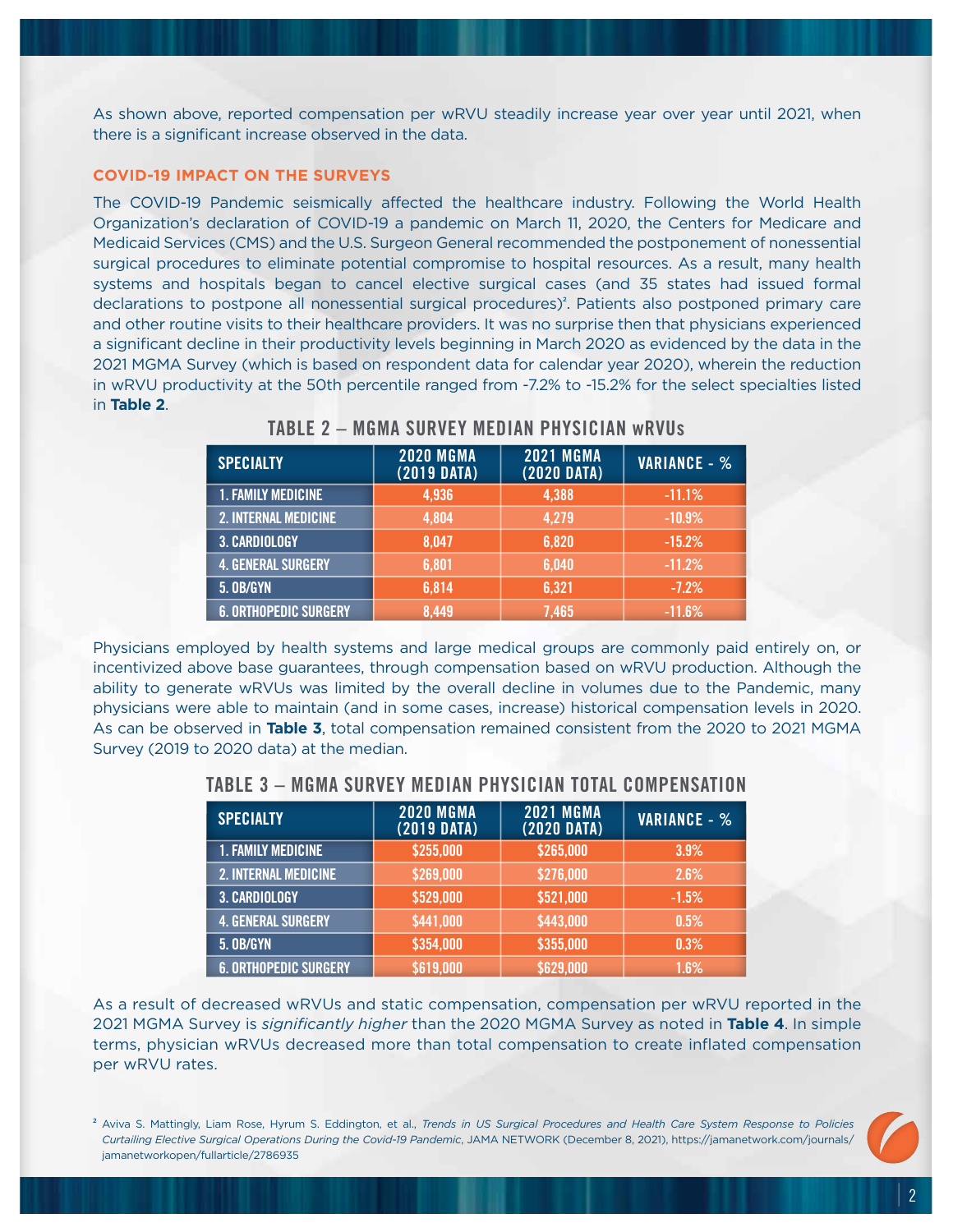As shown above, reported compensation per wRVU steadily increase year over year until 2021, when there is a significant increase observed in the data.

#### **COVID-19 IMPACT ON THE SURVEYS**

The COVID-19 Pandemic seismically affected the healthcare industry. Following the World Health Organization's declaration of COVID-19 a pandemic on March 11, 2020, the Centers for Medicare and Medicaid Services (CMS) and the U.S. Surgeon General recommended the postponement of nonessential surgical procedures to eliminate potential compromise to hospital resources. As a result, many health systems and hospitals began to cancel elective surgical cases (and 35 states had issued formal declarations to postpone all nonessential surgical procedures)<sup>2</sup>. Patients also postponed primary care and other routine visits to their healthcare providers. It was no surprise then that physicians experienced a significant decline in their productivity levels beginning in March 2020 as evidenced by the data in the 2021 MGMA Survey (which is based on respondent data for calendar year 2020), wherein the reduction in wRVU productivity at the 50th percentile ranged from -7.2% to -15.2% for the select specialties listed in **Table 2**.

| <b>SPECIALTY</b>             | <b>2020 MGMA</b><br>$(2019$ DATA) | <b>2021 MGMA</b><br>$(2020$ DATA) | <b>VARIANCE - %</b> |
|------------------------------|-----------------------------------|-----------------------------------|---------------------|
| <b>1. FAMILY MEDICINE</b>    | 4,936                             | 4,388                             | $-11.1%$            |
| <b>2. INTERNAL MEDICINE</b>  | 4,804                             | 4,279                             | $-10.9%$            |
| <b>3. CARDIOLOGY</b>         | 8,047                             | 6,820                             | $-15.2%$            |
| <b>4. GENERAL SURGERY</b>    | 6,801                             | 6,040                             | $-11.2%$            |
| <b>5. OB/GYN</b>             | 6,814                             | 6,321                             | $-7.2%$             |
| <b>6. ORTHOPEDIC SURGERY</b> | 8.449                             | 7.465                             | $-11.6%$            |

# **TABLE 2 – MGMA SURVEY MEDIAN PHYSICIAN wRVUs**

Physicians employed by health systems and large medical groups are commonly paid entirely on, or incentivized above base guarantees, through compensation based on wRVU production. Although the ability to generate wRVUs was limited by the overall decline in volumes due to the Pandemic, many physicians were able to maintain (and in some cases, increase) historical compensation levels in 2020. As can be observed in **Table 3**, total compensation remained consistent from the 2020 to 2021 MGMA Survey (2019 to 2020 data) at the median.

| <b>SPECIALTY</b>             | <b>2020 MGMA</b><br>$(2019$ DATA) | <b>2021 MGMA</b><br>$(2020$ DATA) | <b>VARIANCE - %</b> |
|------------------------------|-----------------------------------|-----------------------------------|---------------------|
| <b>1. FAMILY MEDICINE</b>    | \$255,000                         | \$265,000                         | 3.9%                |
| <b>2. INTERNAL MEDICINE</b>  | \$269,000                         | \$276,000                         | 2.6%                |
| 3. CARDIOLOGY                | \$529,000                         | \$521,000                         | $-1.5%$             |
| <b>4. GENERAL SURGERY</b>    | \$441,000                         | \$443,000                         | 0.5%                |
| <b>5. OB/GYN</b>             | \$354,000                         | \$355,000                         | 0.3%                |
| <b>6. ORTHOPEDIC SURGERY</b> | \$619,000                         | \$629,000                         | $1.6\%$             |

#### **TABLE 3 – MGMA SURVEY MEDIAN PHYSICIAN TOTAL COMPENSATION**

As a result of decreased wRVUs and static compensation, compensation per wRVU reported in the 2021 MGMA Survey is *significantly higher* than the 2020 MGMA Survey as noted in **Table 4**. In simple terms, physician wRVUs decreased more than total compensation to create inflated compensation per wRVU rates.

<sup>2</sup> Aviva S. Mattingly, Liam Rose, Hyrum S. Eddington, et al., *Trends in US Surgical Procedures and Health Care System Response to Policies Curtailing Elective Surgical Operations During the Covid-19 Pandemic*, JAMA NETWORK (December 8, 2021), https://jamanetwork.com/journals/ jamanetworkopen/fullarticle/2786935